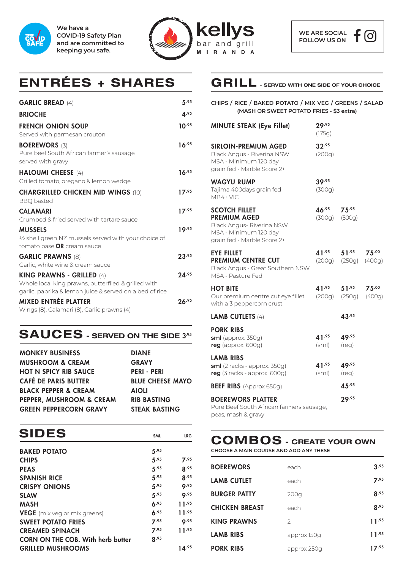

**We have a COVID-19 Safety Plan and are committed to keeping you safe.**



# **ENTRÉES + SHARES GRILL - SERVED WITH ONE SIDE OF YOUR CHOICE**

| <b>GARLIC BREAD (4)</b>                                                                                                                     | 5.95       |
|---------------------------------------------------------------------------------------------------------------------------------------------|------------|
| <b>BRIOCHE</b>                                                                                                                              | A.95       |
| <b>FRENCH ONION SOUP</b><br>Served with parmesan crouton                                                                                    | $10^{.95}$ |
| <b>BOEREWORS (3)</b><br>Pure beef South African farmer's sausage<br>served with gravy                                                       | 16.95      |
| <b>HALOUMI CHEESE (4)</b><br>Grilled tomato, oregano & lemon wedge                                                                          | 16.95      |
| <b>CHARGRILLED CHICKEN MID WINGS (10)</b><br><b>BBQ</b> basted                                                                              | 17.95      |
| <b>CALAMARI</b><br>Crumbed & fried served with tartare sauce                                                                                | 17.95      |
| <b>MUSSELS</b><br>$\frac{1}{2}$ shell green NZ mussels served with your choice of<br>tomato base <b>OR</b> cream sauce                      | 19.95      |
| <b>GARLIC PRAWNS (8)</b><br>Garlic, white wine & cream sauce                                                                                | 23.95      |
| KING PRAWNS - GRILLED (4)<br>Whole local king prawns, butterflied & grilled with<br>garlic, paprika & lemon juice & served on a bed of rice | 24.95      |
| <b>MIXED ENTRÉE PLATTER</b><br>Wings (8). Calamari (8), Garlic prawns (4)                                                                   | 26.95      |

#### **SAUCES** - SERVED ON THE SIDE 3<sup>35</sup>

| <b>MONKEY BUSINESS</b>          | <b>DIANE</b>            |
|---------------------------------|-------------------------|
| <b>MUSHROOM &amp; CREAM</b>     | <b>GRAVY</b>            |
| <b>HOT N SPICY RIB SAUCE</b>    | <b>PERI - PERI</b>      |
| <b>CAFÉ DE PARIS BUTTER</b>     | <b>BLUE CHEESE MAYO</b> |
| <b>BLACK PEPPER &amp; CREAM</b> | <b>AIOLI</b>            |
| PEPPER, MUSHROOM & CREAM        | <b>RIB BASTING</b>      |
| <b>GREEN PEPPERCORN GRAVY</b>   | <b>STEAK BASTING</b>    |
|                                 |                         |

| <b>SIDES</b>                             | <b>SML</b>  | <b>LRG</b>   |
|------------------------------------------|-------------|--------------|
|                                          |             |              |
| <b>BAKED POTATO</b>                      | 5.95        |              |
| <b>CHIPS</b>                             | 5.95        | 7.95         |
| <b>PEAS</b>                              | 5.95        | 8.95         |
| <b>SPANISH RICE</b>                      | 5.95        | <b>8.95</b>  |
| <b>CRISPY ONIONS</b>                     | 5.95        | Q.95         |
| <b>SLAW</b>                              | 5.95        | Q.95         |
| <b>MASH</b>                              | 6.95        | 11.95        |
| <b>VEGE</b> (mix veg or mix greens)      | 6.95        | <b>11.95</b> |
| <b>SWEET POTATO FRIES</b>                | 7.95        | Q.95         |
| <b>CREAMED SPINACH</b>                   | 7.95        | 11.95        |
| <b>CORN ON THE COB. With herb butter</b> | <b>8.95</b> |              |
| <b>GRILLED MUSHROOMS</b>                 |             | 14.95        |

**CHIPS / RICE / BAKED POTATO / MIX VEG / GREENS / SALAD (MASH OR SWEET POTATO FRIES - \$3 extra)**

| <b>MINUTE STEAK (Eye Fillet)</b>                                                                                                 | 29.95<br>(175g)                    |                                   |                                 |
|----------------------------------------------------------------------------------------------------------------------------------|------------------------------------|-----------------------------------|---------------------------------|
| <b>SIRLOIN-PREMIUM AGED</b><br>Black Angus - Riverina NSW<br>MSA - Minimum 120 day<br>grain fed - Marble Score 2+                | 32.95<br>(200g)                    |                                   |                                 |
| <b>WAGYU RUMP</b><br>Tajima 400days grain fed<br>MB4+ VIC                                                                        | 39.95<br>(300g)                    |                                   |                                 |
| <b>SCOTCH FILLET</b><br><b>PREMIUM AGED</b><br>Black Angus- Riverina NSW<br>MSA - Minimum 120 day<br>grain fed - Marble Score 2+ | 46 <sup>.95</sup><br>(300g) (500g) | 75.95                             |                                 |
| <b>EYE FILLET</b><br><b>PREMIUM CENTRE CUT</b><br>Black Angus - Great Southern NSW<br>MSA - Pasture Fed                          | $41^{.95}$<br>(200g)               | $51^{.95}$                        | $75^{.00}$<br>$(250g)$ $(400g)$ |
| <b>HOT BITE</b><br>Our premium centre cut eye fillet<br>with a 3 peppercorn crust                                                |                                    | $41^{.95}$ 51.95<br>(200g) (250g) | $75^{.00}$<br>(400g)            |
| <b>LAMB CUTLETS (4)</b>                                                                                                          |                                    | 43.95                             |                                 |
| <b>PORK RIBS</b><br>sml (approx. 350g)<br>reg (approx. 600g)                                                                     | 41.95<br>(sml)                     | 49.95<br>$(\text{reg})$           |                                 |
| <b>LAMB RIBS</b><br>sml (2 racks - approx. 350g)<br>reg (3 racks - approx. 600g)                                                 | 41.95<br>(sml)                     | 49.95<br>(reg)                    |                                 |
| <b>BEEF RIBS</b> (Approx 650g)                                                                                                   |                                    | 45.95                             |                                 |
| <b>BOEREWORS PLATTER</b><br>Pure Beef South African farmers sausage,                                                             |                                    | 29.95                             |                                 |

peas, mash & gravy

### **COMBOS - CREATE YOUR OWN**

**CHOOSE A MAIN COURSE AND ADD ANY THESE**

| <b>BOEREWORS</b>      | each          | 3.95       |
|-----------------------|---------------|------------|
| <b>LAMB CUTLET</b>    | each          | 7.95       |
| <b>BURGER PATTY</b>   | 200q          | 8.95       |
| <b>CHICKEN BREAST</b> | each          | 8.95       |
| <b>KING PRAWNS</b>    | $\mathcal{L}$ | $11^{.95}$ |
| <b>LAMB RIBS</b>      | approx 150g   | $11^{.95}$ |
| <b>PORK RIBS</b>      | approx 250q   | 17.95      |